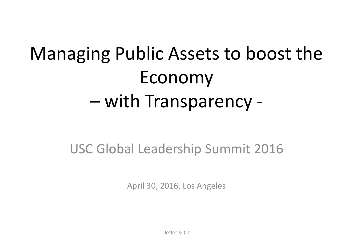# Managing Public Assets to boost the Economy – with Transparency -

### USC Global Leadership Summit 2016

April 30, 2016, Los Angeles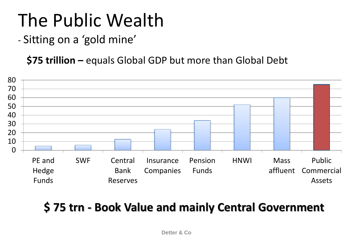- Sitting on a 'gold mine'

**\$75 trillion –** equals Global GDP but more than Global Debt



### **\$ 75 trn - Book Value and mainly Central Government**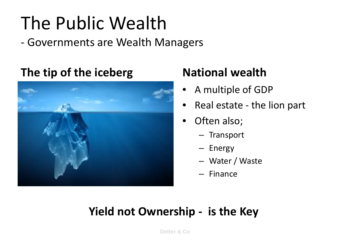- Governments are Wealth Managers

#### **The tip of the iceberg National wealth**



- A multiple of GDP
- Real estate the lion part
- Often also;
	- Transport
	- Energy
	- Water / Waste
	- Finance

#### **Yield not Ownership - is the Key**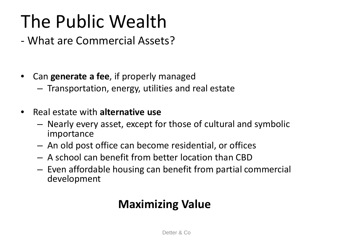#### - What are Commercial Assets?

- Can **generate a fee**, if properly managed
	- Transportation, energy, utilities and real estate
- Real estate with **alternative use**
	- Nearly every asset, except for those of cultural and symbolic importance
	- An old post office can become residential, or offices
	- A school can benefit from better location than CBD
	- Even affordable housing can benefit from partial commercial development

#### **Maximizing Value**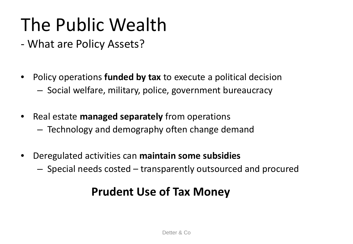- What are Policy Assets?
- Policy operations **funded by tax** to execute a political decision – Social welfare, military, police, government bureaucracy
- Real estate **managed separately** from operations
	- Technology and demography often change demand
- Deregulated activities can **maintain some subsidies**
	- Special needs costed transparently outsourced and procured

#### **Prudent Use of Tax Money**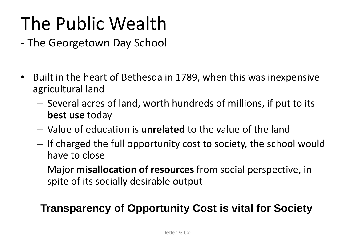- The Georgetown Day School
- Built in the heart of Bethesda in 1789, when this was inexpensive agricultural land
	- Several acres of land, worth hundreds of millions, if put to its **best use** today
	- Value of education is **unrelated** to the value of the land
	- If charged the full opportunity cost to society, the school would have to close
	- Major **misallocation of resources** from social perspective, in spite of its socially desirable output

#### **Transparency of Opportunity Cost is vital for Society**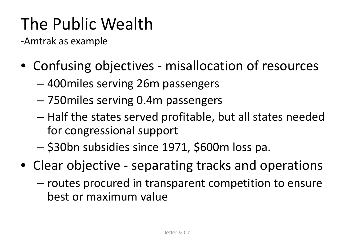-Amtrak as example

- Confusing objectives misallocation of resources
	- 400miles serving 26m passengers
	- 750miles serving 0.4m passengers
	- Half the states served profitable, but all states needed for congressional support
	- \$30bn subsidies since 1971, \$600m loss pa.
- Clear objective separating tracks and operations
	- routes procured in transparent competition to ensure best or maximum value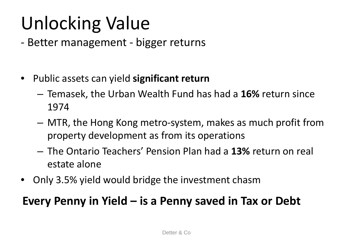- Better management bigger returns
- Public assets can yield **significant return**
	- Temasek, the Urban Wealth Fund has had a **16%** return since 1974
	- MTR, the Hong Kong metro-system, makes as much profit from property development as from its operations
	- The Ontario Teachers' Pension Plan had a **13%** return on real estate alone
- Only 3.5% yield would bridge the investment chasm

#### **Every Penny in Yield – is a Penny saved in Tax or Debt**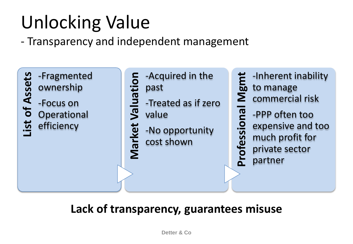- Transparency and independent management



#### **Lack of transparency, guarantees misuse**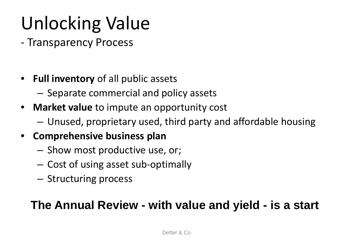- Transparency Process
- **Full inventory** of all public assets
	- Separate commercial and policy assets
- **Market value** to impute an opportunity cost
	- Unused, proprietary used, third party and affordable housing
- **Comprehensive business plan**
	- Show most productive use, or;
	- Cost of using asset sub-optimally
	- Structuring process

#### **The Annual Review - with value and yield - is a start**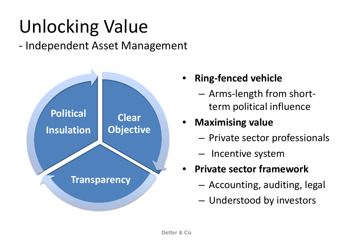- Independent Asset Management



- **Ring-fenced vehicle**
	- Arms-length from shortterm political influence

#### • **Maximising value**

- Private sector professionals
- Incentive system
- **Private sector framework**
	- Accounting, auditing, legal
	- Understood by investors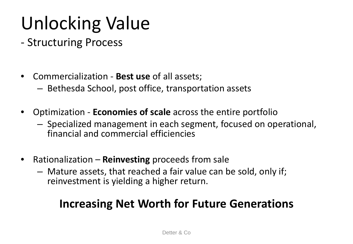- Structuring Process
- Commercialization **Best use** of all assets;
	- Bethesda School, post office, transportation assets
- Optimization **Economies of scale** across the entire portfolio
	- Specialized management in each segment, focused on operational, financial and commercial efficiencies
- Rationalization **Reinvesting** proceeds from sale
	- Mature assets, that reached a fair value can be sold, only if; reinvestment is yielding a higher return.

#### **Increasing Net Worth for Future Generations**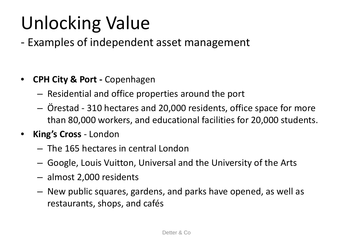- Examples of independent asset management

- **CPH City & Port -** Copenhagen
	- Residential and office properties around the port
	- Örestad 310 hectares and 20,000 residents, office space for more than 80,000 workers, and educational facilities for 20,000 students.
- **King's Cross**  London
	- The 165 hectares in central London
	- Google, Louis Vuitton, Universal and the University of the Arts
	- almost 2,000 residents
	- New public squares, gardens, and parks have opened, as well as restaurants, shops, and cafés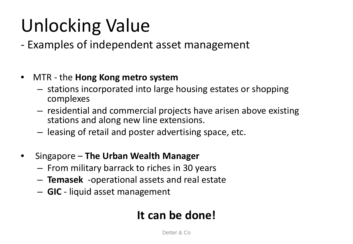- Examples of independent asset management
- MTR the **Hong Kong metro system**
	- stations incorporated into large housing estates or shopping complexes
	- residential and commercial projects have arisen above existing stations and along new line extensions.
	- leasing of retail and poster advertising space, etc.
- Singapore **The Urban Wealth Manager**
	- From military barrack to riches in 30 years
	- **Temasek** -operational assets and real estate
	- **GIC** liquid asset management

#### **It can be done!**